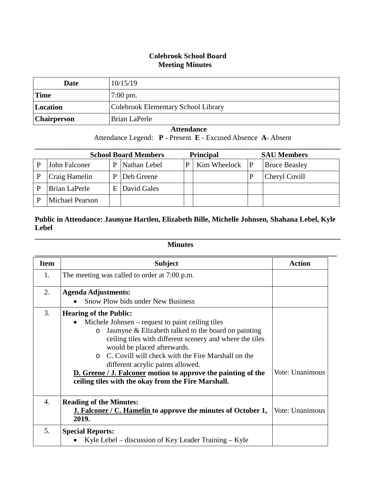## **Colebrook School Board Meeting Minutes**

| Date        | 10/15/19                            |
|-------------|-------------------------------------|
| 'Time       | $7:00 \text{ pm}$ .                 |
| Location    | Colebrook Elementary School Library |
| Chairperson | Brian LaPerle                       |

## **Attendance**

Attendance Legend: **P** - Present **E** - Excused Absence **A**- Absent

| <b>School Board Members</b> |                        |    |              | <b>Principal</b> |                    | <b>SAU Members</b> |                      |
|-----------------------------|------------------------|----|--------------|------------------|--------------------|--------------------|----------------------|
|                             | John Falconer          | P  | Nathan Lebel | P                | Kim Wheelock $ P $ |                    | <b>Bruce Beasley</b> |
|                             | Craig Hamelin          | P  | Deb Greene   |                  |                    |                    | Cheryl Covill        |
|                             | Brian LaPerle          | E. | David Gales  |                  |                    |                    |                      |
|                             | <b>Michael Pearson</b> |    |              |                  |                    |                    |                      |

## **Public in Attendance: Jasmyne Hartlen, Elizabeth Bille, Michelle Johnsen, Shahana Lebel, Kyle Lebel**

**\_\_\_\_\_\_\_\_\_\_\_\_\_\_\_\_\_\_\_\_\_\_\_\_\_\_\_\_\_\_\_\_\_\_\_\_\_\_\_\_\_\_\_\_\_\_\_\_\_\_\_\_\_\_\_\_\_\_\_\_\_\_\_\_\_\_\_\_\_\_\_\_\_\_\_\_\_\_\_\_\_\_\_**

## **Minutes**

| <b>Item</b> | <b>Subject</b>                                                                                                                                                                                                                                                                                                                                                                                                                                                                       | <b>Action</b>   |
|-------------|--------------------------------------------------------------------------------------------------------------------------------------------------------------------------------------------------------------------------------------------------------------------------------------------------------------------------------------------------------------------------------------------------------------------------------------------------------------------------------------|-----------------|
| 1.          | The meeting was called to order at 7:00 p.m.                                                                                                                                                                                                                                                                                                                                                                                                                                         |                 |
| 2.          | <b>Agenda Adjustments:</b>                                                                                                                                                                                                                                                                                                                                                                                                                                                           |                 |
|             | Snow Plow bids under New Business                                                                                                                                                                                                                                                                                                                                                                                                                                                    |                 |
| 3.          | <b>Hearing of the Public:</b><br>Michele Johnsen – request to paint ceiling tiles<br>Jasmyne & Elizabeth talked to the board on painting<br>$\circ$<br>ceiling tiles with different scenery and where the tiles<br>would be placed afterwards.<br>C. Covill will check with the Fire Marshall on the<br>$\Omega$<br>different acrylic paints allowed.<br><b>D.</b> Greene / J. Falconer motion to approve the painting of the<br>ceiling tiles with the okay from the Fire Marshall. | Vote: Unanimous |
| 4.          | <b>Reading of the Minutes:</b><br><b>J. Falconer / C. Hamelin to approve the minutes of October 1,</b><br>2019.                                                                                                                                                                                                                                                                                                                                                                      | Vote: Unanimous |
| 5.          | <b>Special Reports:</b><br>Kyle Lebel – discussion of Key Leader Training – Kyle                                                                                                                                                                                                                                                                                                                                                                                                     |                 |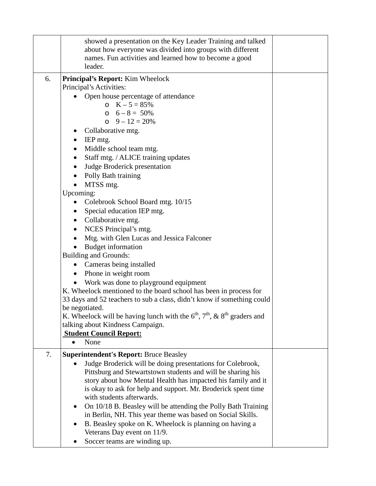|    | showed a presentation on the Key Leader Training and talked                                                                 |  |
|----|-----------------------------------------------------------------------------------------------------------------------------|--|
|    | about how everyone was divided into groups with different                                                                   |  |
|    | names. Fun activities and learned how to become a good<br>leader.                                                           |  |
| 6. |                                                                                                                             |  |
|    | Principal's Report: Kim Wheelock<br>Principal's Activities:                                                                 |  |
|    | Open house percentage of attendance                                                                                         |  |
|    | o $K - 5 = 85%$                                                                                                             |  |
|    | $0 \quad 6 - 8 = 50\%$                                                                                                      |  |
|    | $0 \quad 9 - 12 = 20\%$                                                                                                     |  |
|    | Collaborative mtg.                                                                                                          |  |
|    | IEP mtg.<br>$\bullet$                                                                                                       |  |
|    | Middle school team mtg.                                                                                                     |  |
|    | Staff mtg. / ALICE training updates                                                                                         |  |
|    | Judge Broderick presentation                                                                                                |  |
|    | Polly Bath training                                                                                                         |  |
|    | MTSS mtg.                                                                                                                   |  |
|    | Upcoming:                                                                                                                   |  |
|    | Colebrook School Board mtg. 10/15<br>$\bullet$                                                                              |  |
|    | Special education IEP mtg.                                                                                                  |  |
|    | Collaborative mtg.                                                                                                          |  |
|    | NCES Principal's mtg.<br>٠                                                                                                  |  |
|    | Mtg. with Glen Lucas and Jessica Falconer                                                                                   |  |
|    | <b>Budget</b> information                                                                                                   |  |
|    | <b>Building and Grounds:</b>                                                                                                |  |
|    | Cameras being installed<br>$\bullet$                                                                                        |  |
|    | Phone in weight room<br>$\bullet$                                                                                           |  |
|    | Work was done to playground equipment                                                                                       |  |
|    | K. Wheelock mentioned to the board school has been in process for                                                           |  |
|    | 33 days and 52 teachers to sub a class, didn't know if something could                                                      |  |
|    | be negotiated.                                                                                                              |  |
|    | K. Wheelock will be having lunch with the $6th$ , $7th$ , & $8th$ graders and                                               |  |
|    | talking about Kindness Campaign.                                                                                            |  |
|    | <b>Student Council Report:</b>                                                                                              |  |
|    | None                                                                                                                        |  |
| 7. | <b>Superintendent's Report: Bruce Beasley</b>                                                                               |  |
|    | Judge Broderick will be doing presentations for Colebrook,                                                                  |  |
|    | Pittsburg and Stewartstown students and will be sharing his                                                                 |  |
|    | story about how Mental Health has impacted his family and it                                                                |  |
|    | is okay to ask for help and support. Mr. Broderick spent time<br>with students afterwards.                                  |  |
|    |                                                                                                                             |  |
|    | On 10/18 B. Beasley will be attending the Polly Bath Training<br>in Berlin, NH. This year theme was based on Social Skills. |  |
|    | B. Beasley spoke on K. Wheelock is planning on having a                                                                     |  |
|    | Veterans Day event on 11/9.                                                                                                 |  |
|    | Soccer teams are winding up.                                                                                                |  |
|    |                                                                                                                             |  |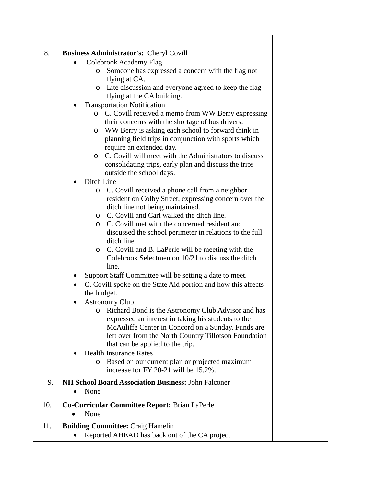| 8.  | Business Administrator's: Cheryl Covill                                    |  |  |  |  |
|-----|----------------------------------------------------------------------------|--|--|--|--|
|     | Colebrook Academy Flag                                                     |  |  |  |  |
|     | Someone has expressed a concern with the flag not<br>$\circ$               |  |  |  |  |
|     | flying at CA.                                                              |  |  |  |  |
|     | Lite discussion and everyone agreed to keep the flag<br>$\circ$            |  |  |  |  |
|     | flying at the CA building.                                                 |  |  |  |  |
|     | <b>Transportation Notification</b>                                         |  |  |  |  |
|     | o C. Covill received a memo from WW Berry expressing                       |  |  |  |  |
|     | their concerns with the shortage of bus drivers.                           |  |  |  |  |
|     | WW Berry is asking each school to forward think in<br>$\circ$              |  |  |  |  |
|     | planning field trips in conjunction with sports which                      |  |  |  |  |
|     | require an extended day.                                                   |  |  |  |  |
|     | C. Covill will meet with the Administrators to discuss<br>$\circ$          |  |  |  |  |
|     | consolidating trips, early plan and discuss the trips                      |  |  |  |  |
|     | outside the school days.                                                   |  |  |  |  |
|     | Ditch Line                                                                 |  |  |  |  |
|     | C. Covill received a phone call from a neighbor<br>$\circ$                 |  |  |  |  |
|     | resident on Colby Street, expressing concern over the                      |  |  |  |  |
|     | ditch line not being maintained.                                           |  |  |  |  |
|     | C. Covill and Carl walked the ditch line.<br>$\circ$                       |  |  |  |  |
|     | C. Covill met with the concerned resident and<br>$\circ$                   |  |  |  |  |
|     | discussed the school perimeter in relations to the full                    |  |  |  |  |
|     | ditch line.                                                                |  |  |  |  |
|     | C. Covill and B. LaPerle will be meeting with the<br>O                     |  |  |  |  |
|     | Colebrook Selectmen on 10/21 to discuss the ditch                          |  |  |  |  |
|     | line.                                                                      |  |  |  |  |
|     | Support Staff Committee will be setting a date to meet.                    |  |  |  |  |
|     | C. Covill spoke on the State Aid portion and how this affects<br>$\bullet$ |  |  |  |  |
|     | the budget.                                                                |  |  |  |  |
|     | <b>Astronomy Club</b>                                                      |  |  |  |  |
|     | o Richard Bond is the Astronomy Club Advisor and has                       |  |  |  |  |
|     | expressed an interest in taking his students to the                        |  |  |  |  |
|     | McAuliffe Center in Concord on a Sunday. Funds are                         |  |  |  |  |
|     | left over from the North Country Tillotson Foundation                      |  |  |  |  |
|     | that can be applied to the trip.<br><b>Health Insurance Rates</b>          |  |  |  |  |
|     | Based on our current plan or projected maximum                             |  |  |  |  |
|     | O<br>increase for FY 20-21 will be 15.2%.                                  |  |  |  |  |
| 9.  | NH School Board Association Business: John Falconer                        |  |  |  |  |
|     | None<br>$\bullet$                                                          |  |  |  |  |
| 10. | Co-Curricular Committee Report: Brian LaPerle                              |  |  |  |  |
|     | None<br>$\bullet$                                                          |  |  |  |  |
| 11. | <b>Building Committee: Craig Hamelin</b>                                   |  |  |  |  |
|     | Reported AHEAD has back out of the CA project.<br>$\bullet$                |  |  |  |  |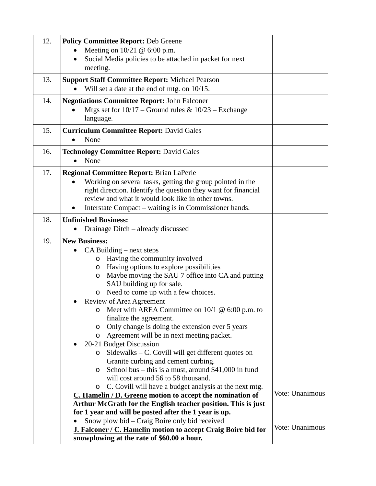| 12. | <b>Policy Committee Report: Deb Greene</b>                                                                           |                 |
|-----|----------------------------------------------------------------------------------------------------------------------|-----------------|
|     | Meeting on $10/21 \& 6:00 \text{ p.m.}$                                                                              |                 |
|     | Social Media policies to be attached in packet for next<br>meeting.                                                  |                 |
| 13. | <b>Support Staff Committee Report: Michael Pearson</b>                                                               |                 |
|     | Will set a date at the end of mtg. on 10/15.                                                                         |                 |
| 14. | <b>Negotiations Committee Report: John Falconer</b>                                                                  |                 |
|     | Mtgs set for $10/17$ – Ground rules & $10/23$ – Exchange                                                             |                 |
|     | language.                                                                                                            |                 |
| 15. | <b>Curriculum Committee Report: David Gales</b>                                                                      |                 |
|     | None                                                                                                                 |                 |
| 16. | <b>Technology Committee Report: David Gales</b>                                                                      |                 |
|     | None                                                                                                                 |                 |
| 17. | <b>Regional Committee Report: Brian LaPerle</b>                                                                      |                 |
|     | Working on several tasks, getting the group pointed in the                                                           |                 |
|     | right direction. Identify the question they want for financial<br>review and what it would look like in other towns. |                 |
|     | Interstate Compact – waiting is in Commissioner hands.                                                               |                 |
| 18. | <b>Unfinished Business:</b>                                                                                          |                 |
|     | Drainage Ditch – already discussed                                                                                   |                 |
| 19. | <b>New Business:</b>                                                                                                 |                 |
|     | $CA$ Building – next steps                                                                                           |                 |
|     | Having the community involved<br>$\circ$                                                                             |                 |
|     | Having options to explore possibilities<br>O                                                                         |                 |
|     | Maybe moving the SAU 7 office into CA and putting<br>O                                                               |                 |
|     | SAU building up for sale.                                                                                            |                 |
|     | Need to come up with a few choices.<br>O                                                                             |                 |
|     | Review of Area Agreement<br>Meet with AREA Committee on $10/1 \& 6:00$ p.m. to                                       |                 |
|     | finalize the agreement.                                                                                              |                 |
|     | Only change is doing the extension ever 5 years<br>O                                                                 |                 |
|     | Agreement will be in next meeting packet.<br>$\circ$                                                                 |                 |
|     | 20-21 Budget Discussion                                                                                              |                 |
|     | Sidewalks - C. Covill will get different quotes on<br>$\circ$                                                        |                 |
|     | Granite curbing and cement curbing.                                                                                  |                 |
|     | School bus – this is a must, around $$41,000$ in fund<br>$\circ$<br>will cost around 56 to 58 thousand.              |                 |
|     | C. Covill will have a budget analysis at the next mtg.<br>O                                                          |                 |
|     | C. Hamelin / D. Greene motion to accept the nomination of                                                            | Vote: Unanimous |
|     | Arthur McGrath for the English teacher position. This is just                                                        |                 |
|     | for 1 year and will be posted after the 1 year is up.                                                                |                 |
|     | Snow plow bid - Craig Boire only bid received                                                                        | Vote: Unanimous |
|     | J. Falconer / C. Hamelin motion to accept Craig Boire bid for                                                        |                 |
|     | snowplowing at the rate of \$60.00 a hour.                                                                           |                 |